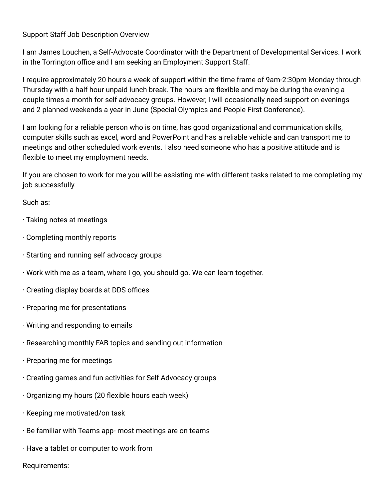Support Staff Job Description Overview

I am James Louchen, a Self-Advocate Coordinator with the Department of Developmental Services. I work in the Torrington office and I am seeking an Employment Support Staff.

I require approximately 20 hours a week of support within the time frame of 9am-2:30pm Monday through Thursday with a half hour unpaid lunch break. The hours are flexible and may be during the evening a couple times a month for self advocacy groups. However, I will occasionally need support on evenings and 2 planned weekends a year in June (Special Olympics and People First Conference).

I am looking for a reliable person who is on time, has good organizational and communication skills, computer skills such as excel, word and PowerPoint and has a reliable vehicle and can transport me to meetings and other scheduled work events. I also need someone who has a positive attitude and is flexible to meet my employment needs.

If you are chosen to work for me you will be assisting me with different tasks related to me completing my job successfully.

Such as:

- · Taking notes at meetings
- · Completing monthly reports
- · Starting and running self advocacy groups
- · Work with me as a team, where I go, you should go. We can learn together.
- · Creating display boards at DDS offices
- · Preparing me for presentations
- · Writing and responding to emails
- · Researching monthly FAB topics and sending out information
- · Preparing me for meetings
- · Creating games and fun activities for Self Advocacy groups
- · Organizing my hours (20 flexible hours each week)
- · Keeping me motivated/on task
- · Be familiar with Teams app- most meetings are on teams
- · Have a tablet or computer to work from

Requirements: